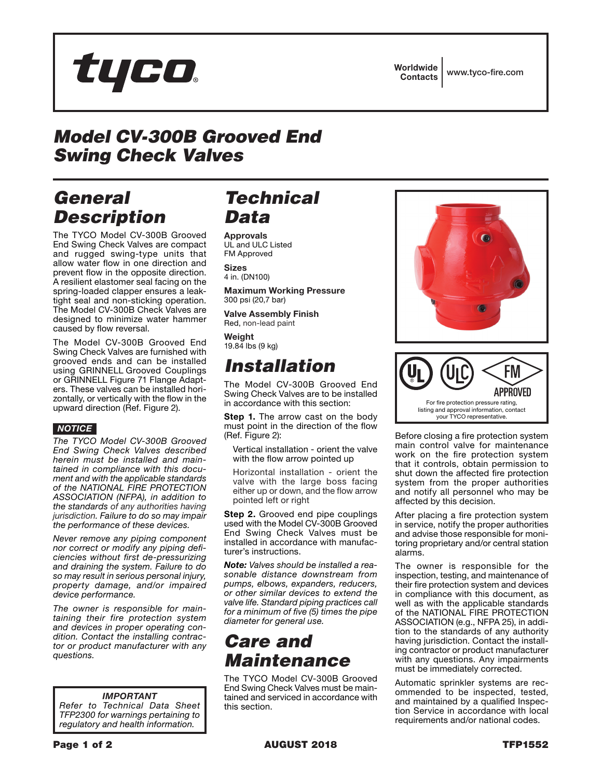

Worldwide Contacts www.tyco-fire.com

# *Model CV-300B Grooved End Swing Check Valves*

### *General Description*

The TYCO Model CV-300B Grooved End Swing Check Valves are compact and rugged swing-type units that allow water flow in one direction and prevent flow in the opposite direction. A resilient elastomer seal facing on the spring-loaded clapper ensures a leaktight seal and non-sticking operation. The Model CV-300B Check Valves are designed to minimize water hammer caused by flow reversal.

The Model CV-300B Grooved End Swing Check Valves are furnished with grooved ends and can be installed using GRINNELL Grooved Couplings or GRINNELL Figure 71 Flange Adapters. These valves can be installed horizontally, or vertically with the flow in the upward direction (Ref. Figure 2).

#### *NOTICE*

*The TYCO Model CV-300B Grooved End Swing Check Valves described herein must be installed and maintained in compliance with this document and with the applicable standards of the NATIONAL FIRE PROTECTION ASSOCIATION (NFPA), in addition to the standards of any authorities having jurisdiction. Failure to do so may impair the performance of these devices.*

*Never remove any piping component nor correct or modify any piping deficiencies without first de-pressurizing and draining the system. Failure to do so may result in serious personal injury, property damage, and/or impaired device performance.*

*The owner is responsible for maintaining their fire protection system and devices in proper operating condition. Contact the installing contractor or product manufacturer with any questions.*

*IMPORTANT Refer to Technical Data Sheet TFP2300 for warnings pertaining to regulatory and health information.*

#### *Technical Data*

Approvals UL and ULC Listed FM Approved

**Sizes** 4 in. (DN100)

Maximum Working Pressure 300 psi (20,7 bar) Valve Assembly Finish

Red, non-lead paint Weight

19.84 lbs (9 kg)

### *Installation*

The Model CV-300B Grooved End Swing Check Valves are to be installed in accordance with this section:

**Step 1.** The arrow cast on the body must point in the direction of the flow (Ref. Figure 2):

Vertical installation - orient the valve with the flow arrow pointed up

Horizontal installation - orient the valve with the large boss facing either up or down, and the flow arrow pointed left or right

**Step 2.** Grooved end pipe couplings used with the Model CV-300B Grooved End Swing Check Valves must be installed in accordance with manufacturer's instructions.

*Note: Valves should be installed a reasonable distance downstream from pumps, elbows, expanders, reducers, or other similar devices to extend the valve life. Standard piping practices call for a minimum of five (5) times the pipe diameter for general use.*

### *Care and Maintenance*

The TYCO Model CV-300B Grooved End Swing Check Valves must be maintained and serviced in accordance with this section.





Before closing a fire protection system main control valve for maintenance work on the fire protection system that it controls, obtain permission to shut down the affected fire protection system from the proper authorities and notify all personnel who may be affected by this decision.

After placing a fire protection system in service, notify the proper authorities and advise those responsible for monitoring proprietary and/or central station alarms.

The owner is responsible for the inspection, testing, and maintenance of their fire protection system and devices in compliance with this document, as well as with the applicable standards of the NATIONAL FIRE PROTECTION ASSOCIATION (e.g., NFPA 25), in addition to the standards of any authority having jurisdiction. Contact the installing contractor or product manufacturer with any questions. Any impairments must be immediately corrected.

Automatic sprinkler systems are recommended to be inspected, tested, and maintained by a qualified Inspection Service in accordance with local requirements and/or national codes.

Page 1 of 2 **AUGUST 2018** TFP1552